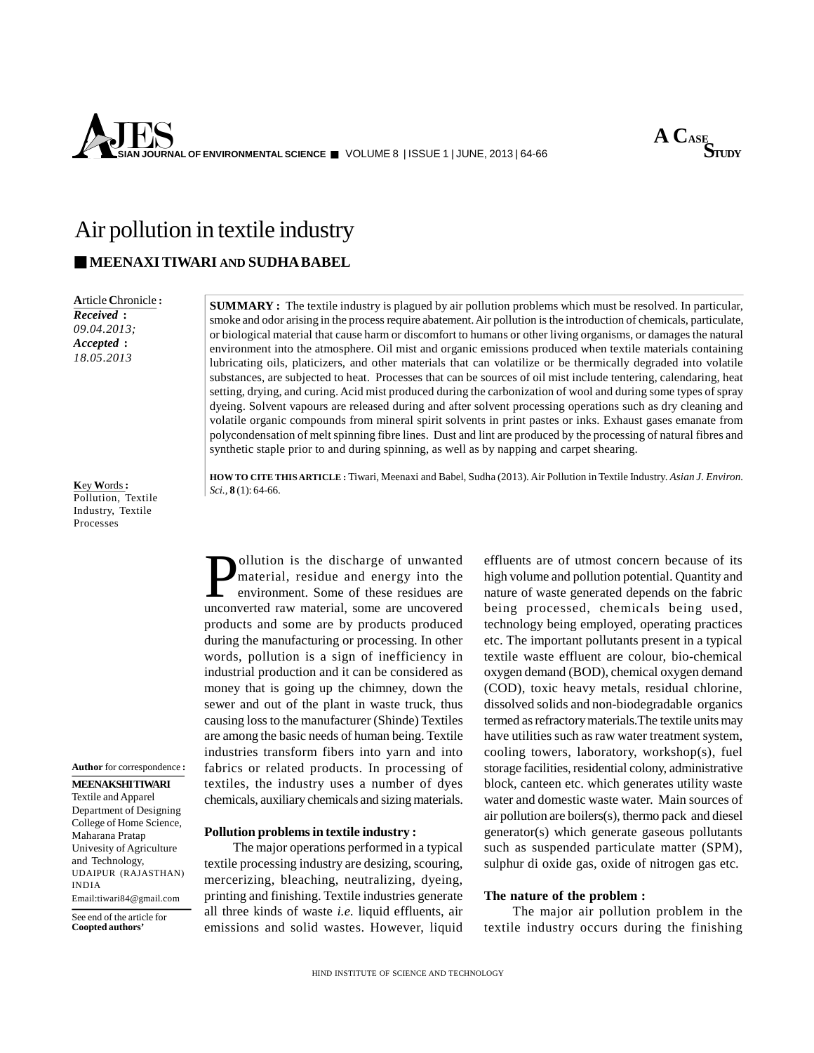



# Air pollution in textile industry

# **MEENAXITIWARI AND SUDHA BABEL**

**A**rticle **C**hronicle **:** *Received* **:** *09.04.2013; Accepted* **:** *18.05.2013*

**SUMMARY :** The textile industry is plagued by air pollution problems which must be resolved. In particular, smoke and odor arising in the process require abatement. Air pollution is the introduction of chemicals, particulate, or biological material that cause harm or discomfort to humans or other living organisms, or damages the natural environment into the atmosphere. Oil mist and organic emissions produced when textile materials containing lubricating oils, platicizers, and other materials that can volatilize or be thermically degraded into volatile substances, are subjected to heat. Processes that can be sources of oil mist include tentering, calendaring, heat setting, drying, and curing. Acid mist produced during the carbonization of wool and during some types of spray dyeing. Solvent vapours are released during and after solvent processing operations such as dry cleaning and volatile organic compounds from mineral spirit solvents in print pastes or inks. Exhaust gases emanate from polycondensation of melt spinning fibre lines. Dust and lint are produced by the processing of natural fibres and synthetic staple prior to and during spinning, as well as by napping and carpet shearing.

**K**ey **W**ords**:** Pollution, Textile Industry, Textile Processes

**Author** for correspondence **:**

# **MEENAKSHITIWARI**

#### Textile and Apparel Department of Designing College of Home Science, Maharana Pratap Univesity of Agriculture and Technology, UDAIPUR (RAJASTHAN) INDIA

Email:tiwari84@gmail.com

See end of the article for **Coopted authors'**

**HOWTO CITE THIS ARTICLE :** Tiwari, Meenaxi and Babel, Sudha (2013). Air Pollution in Textile Industry. *Asian J. Environ. Sci.,* **8** (1): 64-66.

**Pollution is the discharge of unwanted** effluent end energy into the high environment. Some of these residues are uncovered bein material, residue and energy into the environment. Some of these residues are unconverted raw material, some are uncovered products and some are by products produced during the manufacturing or processing. In other words, pollution is a sign of inefficiency in industrial production and it can be considered as money that is going up the chimney, down the sewer and out of the plant in waste truck, thus causing loss to the manufacturer (Shinde) Textiles are among the basic needs of human being. Textile industries transform fibers into yarn and into fabrics or related products. In processing of textiles, the industry uses a number of dyes chemicals, auxiliary chemicals and sizing materials.

# **Pollution problems in textile industry :**

The major operations performed in a typical textile processing industry are desizing, scouring, mercerizing, bleaching, neutralizing, dyeing, printing and finishing. Textile industries generate all three kinds of waste *i.e.* liquid effluents, air emissions and solid wastes. However, liquid effluents are of utmost concern because of its high volume and pollution potential. Quantity and nature of waste generated depends on the fabric being processed, chemicals being used, technology being employed, operating practices etc. The important pollutants present in a typical textile waste effluent are colour, bio-chemical oxygen demand (BOD), chemical oxygen demand (COD), toxic heavy metals, residual chlorine, dissolved solids and non-biodegradable organics termed as refractory materials.The textile units may have utilities such as raw water treatment system, cooling towers, laboratory, workshop(s), fuel storage facilities, residential colony, administrative block, canteen etc. which generates utility waste water and domestic waste water. Main sources of air pollution are boilers(s), thermo pack and diesel generator(s) which generate gaseous pollutants such as suspended particulate matter (SPM), sulphur di oxide gas, oxide of nitrogen gas etc.

# **The nature of the problem :**

The major air pollution problem in the textile industry occurs during the finishing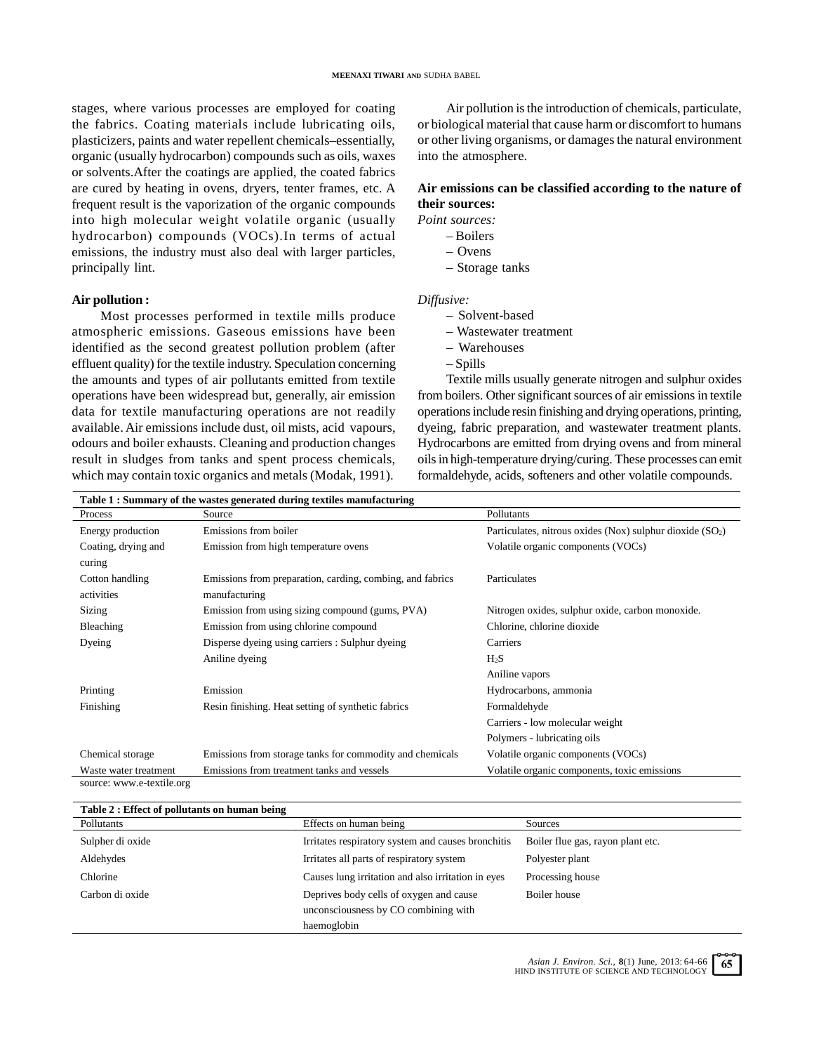stages, where various processes are employed for coating the fabrics. Coating materials include lubricating oils, plasticizers, paints and water repellent chemicals–essentially, organic (usually hydrocarbon) compounds such as oils, waxes or solvents.After the coatings are applied, the coated fabrics are cured by heating in ovens, dryers, tenter frames, etc. A frequent result is the vaporization of the organic compounds into high molecular weight volatile organic (usually hydrocarbon) compounds (VOCs).In terms of actual emissions, the industry must also deal with larger particles, principally lint.

# **Air pollution :**

Most processes performed in textile mills produce atmospheric emissions. Gaseous emissions have been identified as the second greatest pollution problem (after effluent quality) for the textile industry. Speculation concerning the amounts and types of air pollutants emitted from textile operations have been widespread but, generally, air emission data for textile manufacturing operations are not readily available. Air emissions include dust, oil mists, acid vapours, odours and boiler exhausts. Cleaning and production changes result in sludges from tanks and spent process chemicals, which may contain toxic organics and metals (Modak, 1991).

Air pollution is the introduction of chemicals, particulate, or biological material that cause harm or discomfort to humans or other living organisms, or damages the natural environment into the atmosphere.

# **Air emissions can be classified according to the nature of their sources:**

*Point sources:* 

- Boilers
- Ovens
- Storage tanks

#### *Diffusive:*

- Solvent-based
- Wastewater treatment
- Warehouses
- Spills

Textile mills usually generate nitrogen and sulphur oxides from boilers. Other significant sources of air emissions in textile operations include resin finishing and drying operations, printing, dyeing, fabric preparation, and wastewater treatment plants. Hydrocarbons are emitted from drying ovens and from mineral oils in high-temperature drying/curing. These processes can emit formaldehyde, acids, softeners and other volatile compounds.

| Table 1: Summary of the wastes generated during textiles manufacturing |                                                           |                                                                       |  |
|------------------------------------------------------------------------|-----------------------------------------------------------|-----------------------------------------------------------------------|--|
| Process                                                                | Source                                                    | Pollutants                                                            |  |
| Energy production                                                      | Emissions from boiler                                     | Particulates, nitrous oxides (Nox) sulphur dioxide (SO <sub>2</sub> ) |  |
| Coating, drying and                                                    | Emission from high temperature ovens                      | Volatile organic components (VOCs)                                    |  |
| curing                                                                 |                                                           |                                                                       |  |
| Cotton handling                                                        | Emissions from preparation, carding, combing, and fabrics | Particulates                                                          |  |
| activities                                                             | manufacturing                                             |                                                                       |  |
| Sizing                                                                 | Emission from using sizing compound (gums, PVA)           | Nitrogen oxides, sulphur oxide, carbon monoxide.                      |  |
| Bleaching                                                              | Emission from using chlorine compound                     | Chlorine, chlorine dioxide                                            |  |
| Dyeing                                                                 | Disperse dyeing using carriers : Sulphur dyeing           | Carriers                                                              |  |
|                                                                        | Aniline dyeing                                            | $H_2S$                                                                |  |
|                                                                        |                                                           | Aniline vapors                                                        |  |
| Printing                                                               | Emission                                                  | Hydrocarbons, ammonia                                                 |  |
| Finishing                                                              | Resin finishing. Heat setting of synthetic fabrics        | Formaldehyde                                                          |  |
|                                                                        |                                                           | Carriers - low molecular weight                                       |  |
|                                                                        |                                                           | Polymers - lubricating oils                                           |  |
| Chemical storage                                                       | Emissions from storage tanks for commodity and chemicals  | Volatile organic components (VOCs)                                    |  |
| Waste water treatment                                                  | Emissions from treatment tanks and vessels                | Volatile organic components, toxic emissions                          |  |
| source: www.e-textile.org                                              |                                                           |                                                                       |  |

| Table 2 : Effect of pollutants on human being |                                                    |                                   |
|-----------------------------------------------|----------------------------------------------------|-----------------------------------|
| Pollutants                                    | Effects on human being                             | Sources                           |
| Sulpher di oxide                              | Irritates respiratory system and causes bronchitis | Boiler flue gas, rayon plant etc. |
| Aldehydes                                     | Irritates all parts of respiratory system          | Polyester plant                   |
| Chlorine                                      | Causes lung irritation and also irritation in eyes | Processing house                  |
| Carbon di oxide                               | Deprives body cells of oxygen and cause            | Boiler house                      |
|                                               | unconsciousness by CO combining with               |                                   |
|                                               | haemoglobin                                        |                                   |